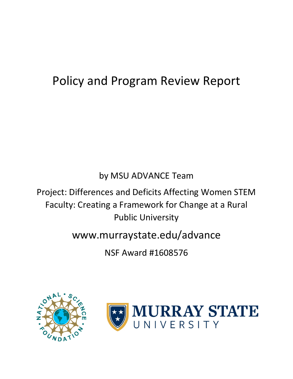# Policy and Program Review Report

# by MSU ADVANCE Team

Project: Differences and Deficits Affecting Women STEM Faculty: Creating a Framework for Change at a Rural Public University

# www.murraystate.edu/advance

NSF Award #1608576



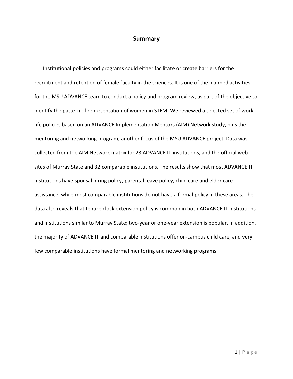### **Summary**

Institutional policies and programs could either facilitate or create barriers for the recruitment and retention of female faculty in the sciences. It is one of the planned activities for the MSU ADVANCE team to conduct a policy and program review, as part of the objective to identify the pattern of representation of women in STEM. We reviewed a selected set of worklife policies based on an ADVANCE Implementation Mentors (AIM) Network study, plus the mentoring and networking program, another focus of the MSU ADVANCE project. Data was collected from the AIM Network matrix for 23 ADVANCE IT institutions, and the official web sites of Murray State and 32 comparable institutions. The results show that most ADVANCE IT institutions have spousal hiring policy, parental leave policy, child care and elder care assistance, while most comparable institutions do not have a formal policy in these areas. The data also reveals that tenure clock extension policy is common in both ADVANCE IT institutions and institutions similar to Murray State; two-year or one-year extension is popular. In addition, the majority of ADVANCE IT and comparable institutions offer on-campus child care, and very few comparable institutions have formal mentoring and networking programs.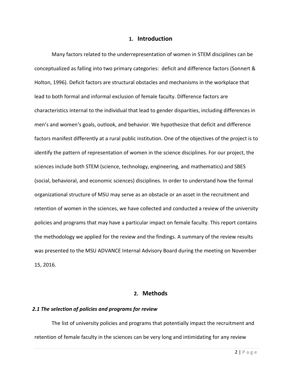#### **1. Introduction**

Many factors related to the underrepresentation of women in STEM disciplines can be conceptualized as falling into two primary categories: deficit and difference factors (Sonnert & Holton, 1996). Deficit factors are structural obstacles and mechanisms in the workplace that lead to both formal and informal exclusion of female faculty. Difference factors are characteristics internal to the individual that lead to gender disparities, including differences in men's and women's goals, outlook, and behavior. We hypothesize that deficit and difference factors manifest differently at a rural public institution. One of the objectives of the project is to identify the pattern of representation of women in the science disciplines. For our project, the sciences include both STEM (science, technology, engineering, and mathematics) and SBES (social, behavioral, and economic sciences) disciplines. In order to understand how the formal organizational structure of MSU may serve as an obstacle or an asset in the recruitment and retention of women in the sciences, we have collected and conducted a review of the university policies and programs that may have a particular impact on female faculty. This report contains the methodology we applied for the review and the findings. A summary of the review results was presented to the MSU ADVANCE Internal Advisory Board during the meeting on November 15, 2016.

### **2. Methods**

#### *2.1 The selection of policies and programs for review*

The list of university policies and programs that potentially impact the recruitment and retention of female faculty in the sciences can be very long and intimidating for any review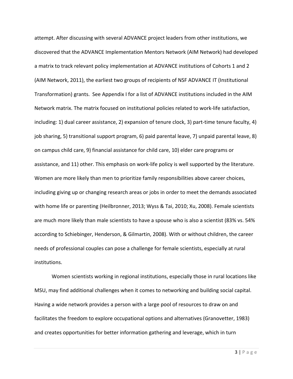attempt. After discussing with several ADVANCE project leaders from other institutions, we discovered that the ADVANCE Implementation Mentors Network (AIM Network) had developed a matrix to track relevant policy implementation at ADVANCE institutions of Cohorts 1 and 2 (AIM Network, 2011), the earliest two groups of recipients of NSF ADVANCE IT (Institutional Transformation) grants. See Appendix I for a list of ADVANCE institutions included in the AIM Network matrix. The matrix focused on institutional policies related to work-life satisfaction, including: 1) dual career assistance, 2) expansion of tenure clock, 3) part-time tenure faculty, 4) job sharing, 5) transitional support program, 6) paid parental leave, 7) unpaid parental leave, 8) on campus child care, 9) financial assistance for child care, 10) elder care programs or assistance, and 11) other. This emphasis on work-life policy is well supported by the literature. Women are more likely than men to prioritize family responsibilities above career choices, including giving up or changing research areas or jobs in order to meet the demands associated with home life or parenting (Heilbronner, 2013; Wyss & Tai, 2010; Xu, 2008). Female scientists are much more likely than male scientists to have a spouse who is also a scientist (83% vs. 54% according to Schiebinger, Henderson, & Gilmartin, 2008). With or without children, the career needs of professional couples can pose a challenge for female scientists, especially at rural institutions.

Women scientists working in regional institutions, especially those in rural locations like MSU, may find additional challenges when it comes to networking and building social capital. Having a wide network provides a person with a large pool of resources to draw on and facilitates the freedom to explore occupational options and alternatives (Granovetter, 1983) and creates opportunities for better information gathering and leverage, which in turn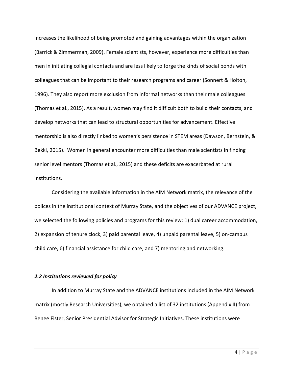increases the likelihood of being promoted and gaining advantages within the organization (Barrick & Zimmerman, 2009). Female scientists, however, experience more difficulties than men in initiating collegial contacts and are less likely to forge the kinds of social bonds with colleagues that can be important to their research programs and career (Sonnert & Holton, 1996). They also report more exclusion from informal networks than their male colleagues (Thomas et al., 2015). As a result, women may find it difficult both to build their contacts, and develop networks that can lead to structural opportunities for advancement. Effective mentorship is also directly linked to women's persistence in STEM areas (Dawson, Bernstein, & Bekki, 2015). Women in general encounter more difficulties than male scientists in finding senior level mentors (Thomas et al., 2015) and these deficits are exacerbated at rural institutions.

Considering the available information in the AIM Network matrix, the relevance of the polices in the institutional context of Murray State, and the objectives of our ADVANCE project, we selected the following policies and programs for this review: 1) dual career accommodation, 2) expansion of tenure clock, 3) paid parental leave, 4) unpaid parental leave, 5) on-campus child care, 6) financial assistance for child care, and 7) mentoring and networking.

#### *2.2 Institutions reviewed for policy*

In addition to Murray State and the ADVANCE institutions included in the AIM Network matrix (mostly Research Universities), we obtained a list of 32 institutions (Appendix II) from Renee Fister, Senior Presidential Advisor for Strategic Initiatives. These institutions were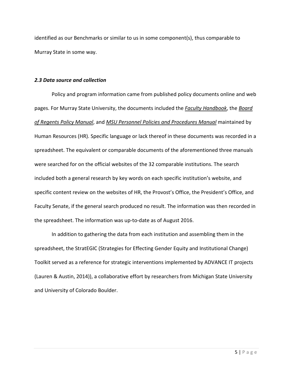identified as our Benchmarks or similar to us in some component(s), thus comparable to Murray State in some way.

#### *2.3 Data source and collection*

Policy and program information came from published policy documents online and web pages. For Murray State University, the documents included the *Faculty Handbook*, the *Board of Regents Policy Manual*, and *MSU Personnel Policies and Procedures Manual* maintained by Human Resources (HR). Specific language or lack thereof in these documents was recorded in a spreadsheet. The equivalent or comparable documents of the aforementioned three manuals were searched for on the official websites of the 32 comparable institutions. The search included both a general research by key words on each specific institution's website, and specific content review on the websites of HR, the Provost's Office, the President's Office, and Faculty Senate, if the general search produced no result. The information was then recorded in the spreadsheet. The information was up-to-date as of August 2016.

In addition to gathering the data from each institution and assembling them in the spreadsheet, the StratEGIC (Strategies for Effecting Gender Equity and Institutional Change) Toolkit served as a reference for strategic interventions implemented by ADVANCE IT projects (Lauren & Austin, 2014)), a collaborative effort by researchers from Michigan State University and University of Colorado Boulder.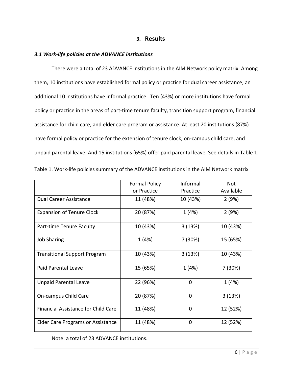### **3. Results**

#### *3.1 Work-life policies at the ADVANCE institutions*

There were a total of 23 ADVANCE institutions in the AIM Network policy matrix. Among them, 10 institutions have established formal policy or practice for dual career assistance, an additional 10 institutions have informal practice. Ten (43%) or more institutions have formal policy or practice in the areas of part-time tenure faculty, transition support program, financial assistance for child care, and elder care program or assistance. At least 20 institutions (87%) have formal policy or practice for the extension of tenure clock, on-campus child care, and unpaid parental leave. And 15 institutions (65%) offer paid parental leave. See details in Table 1.

|                                     | <b>Formal Policy</b> | Informal       | Not       |
|-------------------------------------|----------------------|----------------|-----------|
|                                     | or Practice          | Practice       | Available |
| Dual Career Assistance              | 11 (48%)             | 10 (43%)       | 2(9%)     |
| <b>Expansion of Tenure Clock</b>    | 20 (87%)             | 1(4%)          | 2(9%)     |
| Part-time Tenure Faculty            | 10 (43%)             | 3(13%)         | 10 (43%)  |
| <b>Job Sharing</b>                  | 1(4%)                | 7 (30%)        | 15 (65%)  |
| <b>Transitional Support Program</b> | 10 (43%)             | 3(13%)         | 10 (43%)  |
| <b>Paid Parental Leave</b>          | 15 (65%)             | 1 (4%)         | 7 (30%)   |
| <b>Unpaid Parental Leave</b>        | 22 (96%)             | $\overline{0}$ | 1(4%)     |
| On-campus Child Care                | 20 (87%)             | $\mathbf 0$    | 3(13%)    |
| Financial Assistance for Child Care | 11 (48%)             | $\mathbf 0$    | 12 (52%)  |
| Elder Care Programs or Assistance   | 11 (48%)             | $\mathbf 0$    | 12 (52%)  |

|  |  |  |  | Table 1. Work-life policies summary of the ADVANCE institutions in the AIM Network matrix |  |
|--|--|--|--|-------------------------------------------------------------------------------------------|--|
|--|--|--|--|-------------------------------------------------------------------------------------------|--|

Note: a total of 23 ADVANCE institutions.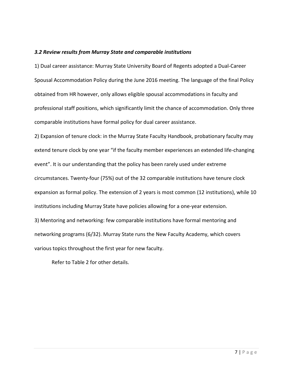#### *3.2 Review results from Murray State and comparable institutions*

1) Dual career assistance: Murray State University Board of Regents adopted a Dual-Career Spousal Accommodation Policy during the June 2016 meeting. The language of the final Policy obtained from HR however, only allows eligible spousal accommodations in faculty and professional staff positions, which significantly limit the chance of accommodation. Only three comparable institutions have formal policy for dual career assistance.

2) Expansion of tenure clock: in the Murray State Faculty Handbook, probationary faculty may extend tenure clock by one year "if the faculty member experiences an extended life-changing event". It is our understanding that the policy has been rarely used under extreme circumstances. Twenty-four (75%) out of the 32 comparable institutions have tenure clock expansion as formal policy. The extension of 2 years is most common (12 institutions), while 10 institutions including Murray State have policies allowing for a one-year extension. 3) Mentoring and networking: few comparable institutions have formal mentoring and networking programs (6/32). Murray State runs the New Faculty Academy, which covers various topics throughout the first year for new faculty.

Refer to Table 2 for other details.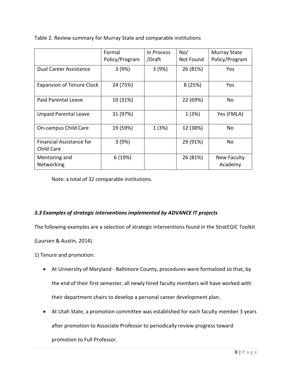|                                        | Formal<br>Policy/Program | In Process<br>/Draft | No/<br>Not Found | <b>Murray State</b><br>Policy/Program |
|----------------------------------------|--------------------------|----------------------|------------------|---------------------------------------|
| <b>Dual Career Assistance</b>          | 3(9%)                    | 3(9%)                | 26 (81%)         | Yes                                   |
| <b>Expansion of Tenure Clock</b>       | 24 (75%)                 |                      | 8(25%)           | Yes                                   |
| Paid Parental Leave                    | 10 (31%)                 |                      | 22 (69%)         | <b>No</b>                             |
| <b>Unpaid Parental Leave</b>           | 31 (97%)                 |                      | 1(3%)            | Yes (FMLA)                            |
| On-campus Child Care                   | 19 (59%)                 | 1(3%)                | 12 (38%)         | <b>No</b>                             |
| Financial Assistance for<br>Child Care | 3(9%)                    |                      | 29 (91%)         | No                                    |
| Mentoring and<br>Networking            | 6(19%)                   |                      | 26 (81%)         | New Faculty<br>Academy                |

Table 2. Review summary for Murray State and comparable institutions

Note: a total of 32 comparable institutions.

# *3.3 Examples of strategic interventions implemented by ADVANCE IT projects*

The following examples are a selection of strategic interventions found in the StratEGIC Toolkit

(Laursen & Austin, 2014).

1) Tenure and promotion:

- At University of Maryland Baltimore County, procedures were formalized so that, by the end of their first semester, all newly hired faculty members will have worked with their department chairs to develop a personal career development plan.
- At Utah State, a promotion committee was established for each faculty member 3 years

after promotion to Associate Professor to periodically review progress toward

promotion to Full Professor.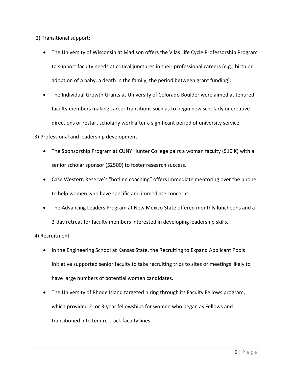2) Transitional support:

- The University of Wisconsin at Madison offers the Vilas Life Cycle Professorship Program to support faculty needs at critical junctures in their professional careers (e.g., birth or adoption of a baby, a death in the family, the period between grant funding).
- The Individual Growth Grants at University of Colorado Boulder were aimed at tenured faculty members making career transitions such as to begin new scholarly or creative directions or restart scholarly work after a significant period of university service.

# 3) Professional and leadership development

- The Sponsorship Program at CUNY Hunter College pairs a woman faculty (\$10 K) with a senior scholar sponsor (\$2500) to foster research success.
- Case Western Reserve's "hotline coaching" offers immediate mentoring over the phone to help women who have specific and immediate concerns.
- The Advancing Leaders Program at New Mexico State offered monthly luncheons and a 2-day retreat for faculty members interested in developing leadership skills.

# 4) Recruitment

- In the Engineering School at Kansas State, the Recruiting to Expand Applicant Pools Initiative supported senior faculty to take recruiting trips to sites or meetings likely to have large numbers of potential women candidates.
- The University of Rhode Island targeted hiring through its Faculty Fellows program, which provided 2- or 3-year fellowships for women who began as Fellows and transitioned into tenure-track faculty lines.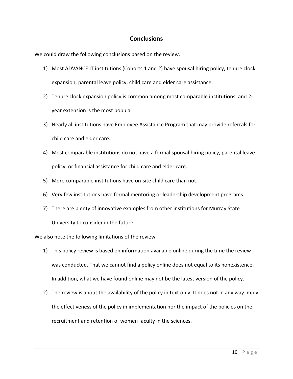# **Conclusions**

We could draw the following conclusions based on the review.

- 1) Most ADVANCE IT institutions (Cohorts 1 and 2) have spousal hiring policy, tenure clock expansion, parental leave policy, child care and elder care assistance.
- 2) Tenure clock expansion policy is common among most comparable institutions, and 2 year extension is the most popular.
- 3) Nearly all institutions have Employee Assistance Program that may provide referrals for child care and elder care.
- 4) Most comparable institutions do not have a formal spousal hiring policy, parental leave policy, or financial assistance for child care and elder care.
- 5) More comparable institutions have on-site child care than not.
- 6) Very few institutions have formal mentoring or leadership development programs.
- 7) There are plenty of innovative examples from other institutions for Murray State University to consider in the future.

We also note the following limitations of the review.

- 1) This policy review is based on information available online during the time the review was conducted. That we cannot find a policy online does not equal to its nonexistence. In addition, what we have found online may not be the latest version of the policy.
- 2) The review is about the availability of the policy in text only. It does not in any way imply the effectiveness of the policy in implementation nor the impact of the policies on the recruitment and retention of women faculty in the sciences.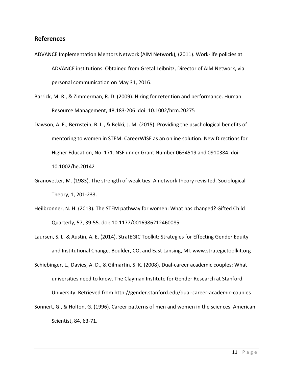### **References**

- ADVANCE Implementation Mentors Network (AIM Network), (2011). Work-life policies at ADVANCE institutions. Obtained from Gretal Leibnitz, Director of AIM Network, via personal communication on May 31, 2016.
- Barrick, M. R., & Zimmerman, R. D. (2009). Hiring for retention and performance. Human Resource Management, 48,183-206. doi: 10.1002/hrm.20275
- Dawson, A. E., Bernstein, B. L., & Bekki, J. M. (2015). Providing the psychological benefits of mentoring to women in STEM: CareerWISE as an online solution. New Directions for Higher Education, No. 171. NSF under Grant Number 0634519 and 0910384. doi: 10.1002/he.20142
- Granovetter, M. (1983). The strength of weak ties: A network theory revisited. Sociological Theory, 1, 201-233.
- Heilbronner, N. H. (2013). The STEM pathway for women: What has changed? Gifted Child Quarterly, 57, 39-55. doi: 10.1177/0016986212460085
- Laursen, S. L. & Austin, A. E. (2014). StratEGIC Toolkit: Strategies for Effecting Gender Equity and Institutional Change. Boulder, CO, and East Lansing, MI. www.strategictoolkit.org
- Schiebinger, L., Davies, A. D., & Gilmartin, S. K. (2008). Dual-career academic couples: What universities need to know. The Clayman Institute for Gender Research at Stanford University. Retrieved from http://gender.stanford.edu/dual-career-academic-couples
- Sonnert, G., & Holton, G. (1996). Career patterns of men and women in the sciences. American Scientist, 84, 63-71.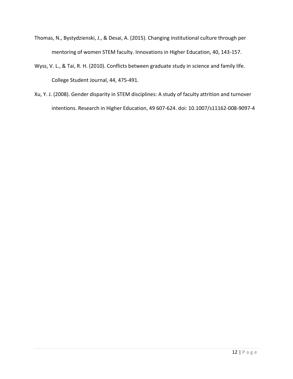- Thomas, N., Bystydzienski, J., & Desai, A. (2015). Changing institutional culture through per mentoring of women STEM faculty. Innovations in Higher Education, 40, 143-157.
- Wyss, V. L., & Tai, R. H. (2010). Conflicts between graduate study in science and family life. College Student Journal, 44, 475-491.
- Xu, Y. J. (2008). Gender disparity in STEM disciplines: A study of faculty attrition and turnover intentions. Research in Higher Education, 49 607-624. doi: 10.1007/s11162-008-9097-4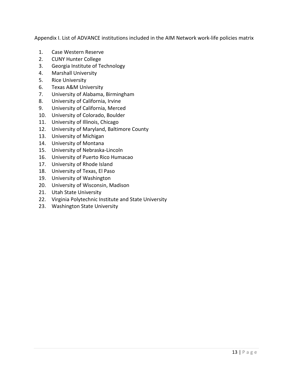Appendix I. List of ADVANCE institutions included in the AIM Network work-life policies matrix

- 1. Case Western Reserve
- 2. CUNY Hunter College
- 3. Georgia Institute of Technology
- 4. Marshall University
- 5. Rice University
- 6. Texas A&M University
- 7. University of Alabama, Birmingham
- 8. University of California, Irvine
- 9. University of California, Merced
- 10. University of Colorado, Boulder
- 11. University of Illinois, Chicago
- 12. University of Maryland, Baltimore County
- 13. University of Michigan
- 14. University of Montana
- 15. University of Nebraska-Lincoln
- 16. University of Puerto Rico Humacao
- 17. University of Rhode Island
- 18. University of Texas, El Paso
- 19. University of Washington
- 20. University of Wisconsin, Madison
- 21. Utah State University
- 22. Virginia Polytechnic Institute and State University
- 23. Washington State University